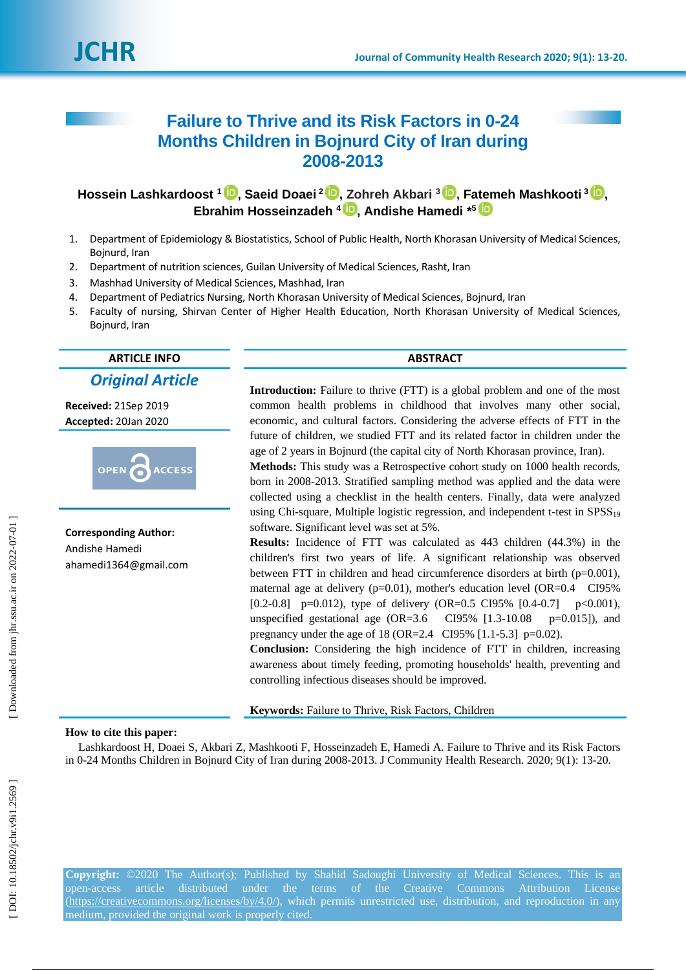# **Failure to Thrive and its Risk Factors in 0 -24 Months Children in Bojnurd City of Iran during 2008 -2013**

 $\mathbf{H}$ ossein Lashkardoost  $^1\mathbf{C}$ [,](https://orcid.org/0000-0001-8809-036X) Saeid Doaei $^2\mathbf{C}$ , Zohreh Akbari  $^3\mathbf{C}$ , Fatemeh Mashkooti $^3\mathbf{C}$ , **Ebrahim Hosseinzadeh 4 [,](https://orcid.org/0000-0003-2575-1487) Andishe Hamedi \* 5**

- 1 . Department of Epidemiology & Biostatistics, School of Public Health, North Khorasan University of Medical Sciences, Bojnurd, Iran
- $2.$ . Department of nutrition sciences , Guilan University of Medical Sciences, Rasht, Iran
- 3. . Mashhad University of Medical Sciences, Mashhad, Iran
- 4 . Department of Pediatrics Nursing, North Khorasan University of Medical Sciences, Bojnurd, Iran
- 5 . Faculty of nursing, Shirvan Center of Higher Health Education, North Khorasan University of Medical Sciences, Bojnurd, Iran

## **ARTICLE INFO ABSTRACT** *Original Article*

**Received:** 21Sep 201 9 **Accepted:** 20Jan 2020



**Corresponding Author:** Andishe Hamedi ahamedi1364@gmail.com

**Introduction:** Failure to thrive (FTT) is a global problem and one of the most common health problems in childhood that involves many other social, economic, and cultural factors. Considering the adverse effects of FTT in the future of children, we studied FTT and its related factor in children under the age of 2 years in Bojnurd (the capital city of North Khorasan province, Iran).

**Methods:** This study was a Retrospective cohort study on 1000 health records, born in 2008 -2013. Stratified sampling method was applied and the data were collected using a checklist in the health centers. Finally, data were analyzed using Chi-square, Multiple logistic regression, and independent t-test in SPSS<sub>19</sub> software. Significant level was set at 5%.

**Results:** Incidence of FTT was calculated as 443 children (44.3%) in the children's first two years of life. A significant relationship was observed between FTT in children and head circumference disorders at birth (p=0.001), maternal age at delivery  $(p=0.01)$ , mother's education level  $(OR=0.4 \text{ } C195\%)$ [0.2-0.8] p=0.012), type of delivery (OR=0.5 CI95% [0.4-0.7] p<0.001), unspecified gestational age (OR=3.6 CI95% [1.3-10.08]  $p=0.015$ ]), and pregnancy under the age of  $18 (OR = 2.4 \text{ CI} 95\% [1.1 - 5.3] p = 0.02)$ .

**Conclusion:** Considering the high incidence of FTT in children, increasing awareness about timely feeding, promoting households' health, preventing and controlling infectious diseases should be improved.

**Keywords:** Failure to Thrive, Risk Factors, Children

### **How to cite this paper:**

Lashkardoost H, Doaei S, Akbari Z, Mashkooti F, Hosseinzadeh E, Hamedi A. Failure to Thrive and its Risk Factors in 0-24 Months Children in Bojnurd City of Iran during 2008-2013. J Community Health Research. 2020; 9(1): 13-20.

Copyright: ©2020 The Author(s); Published by Shahid Sadoughi University of Medical Sciences. This is an open-access article distributed under the terms of the Creative Commons Attribution License [\(https://creativecommons.org/licenses/by/4.0/\)](https://creativecommons.org/licenses/by/4.0/), which permits unrestricted use, distribution, and reproduction in any medium, provided the original work is properly cited.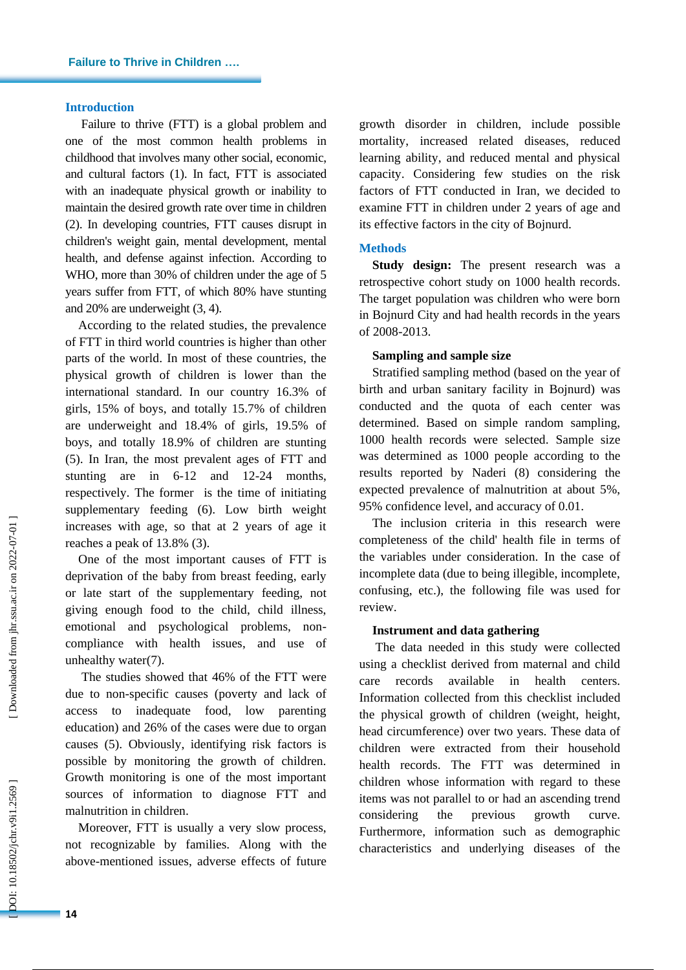### **Introduction**

Failure to thrive (FTT) is a global problem and one of the most common health problems in childhood that involve s many other social, economic , and cultural factors ( 1 ). In fact, FTT is associated with an inadequate physical growth or inability to maintain the desired growth rate over time in children (2). In developing countries, FTT causes disrupt in children's weight gain, mental development, mental health , and defense against infection. According to WHO, more than 30% of children under the age of 5 year s suffer from FTT, of which 80% have stunting and 20% are underweight ( 3, 4 ).

According to the related studies, the prevalence of FTT in third world countries is higher than other part s of the world. In most of these countries, the physical growth of children is lower than the international standard. In our country 16.3% of girls, 15% of boys , and totally 15.7% of children are underweight and 18.4% of girls, 19.5% of boys , and totally 18.9% of children are stunting ( 5 ). In Iran, the most prevalent age s of FTT and stunting are in 6-12 and 12-24 months, respectively. The former is the time of initiating supplementary feeding ( 6 ). Low birth weight increases with age, so that at 2 years of age it reaches a peak of 13.8% (3).

One of the most important causes of FTT is deprivation of the baby from breast feeding, early or late start of the supplementary feeding, not giving enough food to the child, child illness, emotional and psychological problems, non compliance with health issues , and use of unhealthy water(7).

The studies showed that 46% of the FTT were due to non -specific causes (poverty and lack of access to inadequate food, low parenting education) and 26% of the cases were due to organ causes ( 5 ). Obviously, identifying risk factors is possible by monitoring the growth of children. Growth monitoring is one of the most important sources of information to diagnose FTT and malnutrition in children.

Moreover, FTT is usually a very slow process, not recognizable by families. Along with the above -mentioned issues , adverse effects of future growth disorder in children, include possible mortality, increased related diseases, reduced learning ability , and reduced mental and physical capacity . Considering few studies on the risk factors of FTT conducted in Iran, we decided to examine FTT in children under 2 years of age and its effective factors in the city of Bojnurd.

### **Methods**

**Study design:** The present research was a retrospective cohort study on 1000 health records. The target population was children who were born in Bojnurd City and had health records in the years of 2008 -2013.

### **Sampling and sample size**

Stratified sampling method (based on the year of birth and urban sanitary facility in Bojnurd) was conducted and the quota of each center was determined . Based on simple random sampling, 1000 health records were selected. Sample size was determined as 1000 people according to the results reported by Naderi ( 8 ) considering the expected prevalence of malnutrition at about 5%, 95% confidence level , and accuracy of 0.01.

The inclusion criteria in this research were completeness of the child' health file in terms of the variables under consideration. In the case of incomplete data (due to being illegible, incomplete, confusing, etc.), the following file was used for review.

### **Instrument and data gathering**

The data needed in this study were collected using a checklist derived from maternal and child care records available in health centers. Information collected from this checklist include d the physical growth of children (weight, height, head circumference) over two years. These data of children were extracted from their household health records. The FTT was determined in children whose information with regard to these items was not parallel to or had an ascending trend considering the previous growth curve. Furthermore, information such as demographic characteristics and underlying diseases of the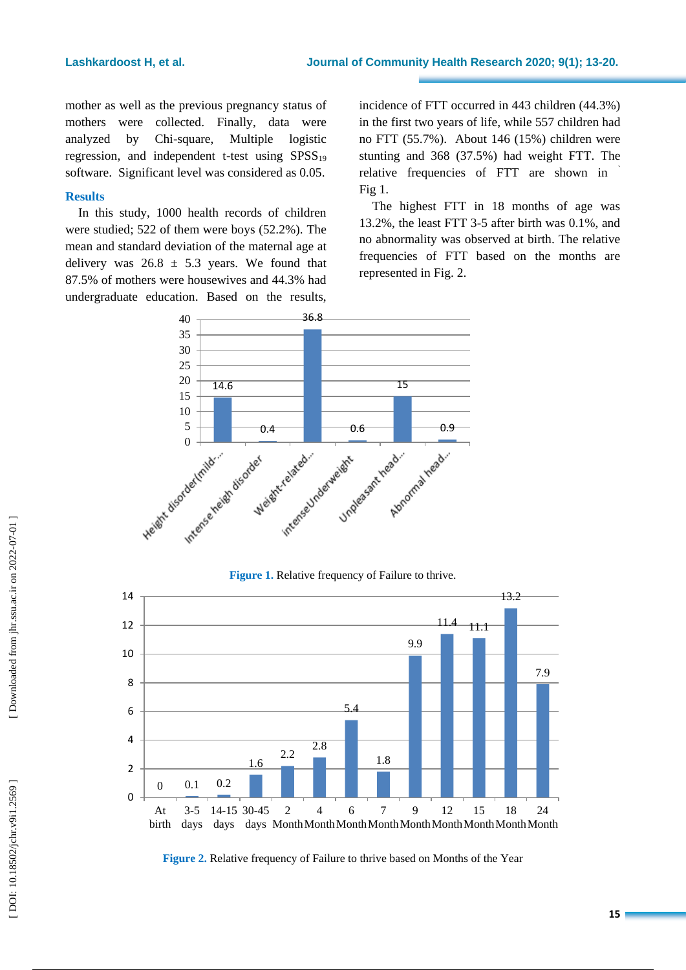mother as well as the previous pregnancy status of mothers were collected . Finally, data were analyzed by Chi-square, Multiple logistic regression, and independent t-test using  $SPSS_{19}$ software . Significant level was considered as 0.05.

### **Results**

In this study, 1000 health records of children were studied; 522 of them were boys (52.2%). The mean and standard deviation of the maternal age at delivery was  $26.8 \pm 5.3$  years. We found that 87.5% of mothers were housewives and 44.3% had undergraduate education. Based on the results, incidence of FTT occurred in 443 children (44.3%) in the first two years of life, while 557 children had no FTT (55.7%). About 146 (15%) children were stunting and 368 (37.5% ) had weight FTT. The relative frequencies of FTT are show n in ` Fig 1.

The highest FTT in 18 months of age was 13.2%, the least FTT 3 -5 after birth was 0.1%, and no abnormality was observed at birth. The relative frequencies of FTT based on the months are represented in Fig. 2.



### **Figure 1.** Relative frequency of Failure to thrive.



**Figure 2.** Relative frequency of Failure to thrive based on Months of the Year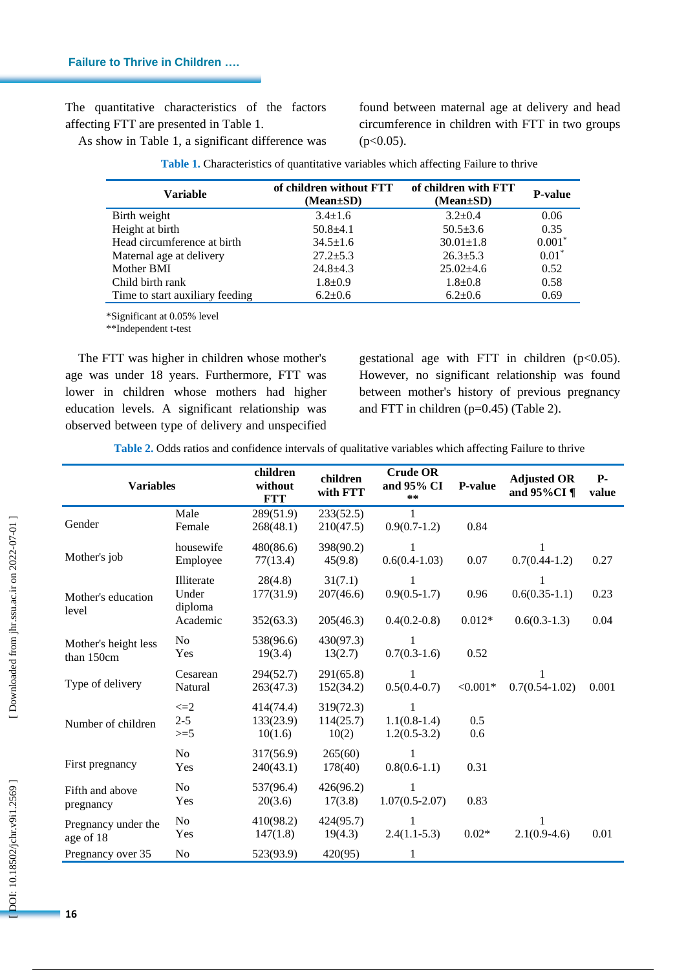The quantitative characteristics of the factors affecting FTT are presented in Table 1.

As show in Table 1, a significant difference was

found between maternal age at delivery and head circumference in children with FTT in two groups (p<0.05).

| <b>Variable</b>                 | of children without FTT<br>$(Mean \pm SD)$ | of children with FTT<br>$(Mean \pm SD)$ | <b>P-value</b> |
|---------------------------------|--------------------------------------------|-----------------------------------------|----------------|
| Birth weight                    | $3.4 \pm 1.6$                              | $3.2 \pm 0.4$                           | 0.06           |
| Height at birth                 | $50.8 + 4.1$                               | $50.5 \pm 3.6$                          | 0.35           |
| Head circumference at birth     | $34.5 \pm 1.6$                             | $30.01 \pm 1.8$                         | $0.001*$       |
| Maternal age at delivery        | $27.2 \pm 5.3$                             | $26.3 \pm 5.3$                          | $0.01*$        |
| Mother BMI                      | $24.8 + 4.3$                               | $25.02+4.6$                             | 0.52           |
| Child birth rank                | $1.8 \pm 0.9$                              | $1.8 + 0.8$                             | 0.58           |
| Time to start auxiliary feeding | $6.2 \pm 0.6$                              | $6.2 \pm 0.6$                           | 0.69           |

**Table 1 .** Characteristics of quantitative variables which affecting Failure to thrive

\*Significant at 0.05% level

\*\*Independent t -test

The FTT was higher in children whose mother's age was under 18 years. Furthermore, FTT was lower in children whose mothers ha d higher education levels. A significant relationship was observed between type of delivery and unspecified

gestational age with FTT in children  $(p<0.05)$ . However, no significant relationship was found between mother's history of previous pregnancy and FTT in children ( p=0.45) (Table 2).

**Table 2 .** Odds ratios and confidence intervals of qualitative variables which affecting Failure to thrive

| <b>Variables</b>                   |                                            | children<br>without<br><b>FTT</b> | children<br>with FTT              | <b>Crude OR</b><br>and 95% CI<br>$* *$ | P-value          | <b>Adjusted OR</b><br>and $95\%$ CI¶ | <b>P-</b><br>value |
|------------------------------------|--------------------------------------------|-----------------------------------|-----------------------------------|----------------------------------------|------------------|--------------------------------------|--------------------|
| Gender                             | Male<br>Female                             | 289(51.9)<br>268(48.1)            | 233(52.5)<br>210(47.5)            | $0.9(0.7-1.2)$                         | 0.84             |                                      |                    |
| Mother's job                       | housewife<br>Employee                      | 480(86.6)<br>77(13.4)             | 398(90.2)<br>45(9.8)              | 1<br>$0.6(0.4-1.03)$                   | 0.07             | 1<br>$0.7(0.44-1.2)$                 | 0.27               |
| Mother's education<br>level        | Illiterate<br>Under<br>diploma<br>Academic | 28(4.8)<br>177(31.9)<br>352(63.3) | 31(7.1)<br>207(46.6)<br>205(46.3) | 1<br>$0.9(0.5-1.7)$<br>$0.4(0.2-0.8)$  | 0.96<br>$0.012*$ | $0.6(0.35-1.1)$<br>$0.6(0.3-1.3)$    | 0.23<br>0.04       |
| Mother's height less<br>than 150cm | No<br>Yes                                  | 538(96.6)<br>19(3.4)              | 430(97.3)<br>13(2.7)              | $0.7(0.3-1.6)$                         | 0.52             |                                      |                    |
| Type of delivery                   | Cesarean<br>Natural                        | 294(52.7)<br>263(47.3)            | 291(65.8)<br>152(34.2)            | 1<br>$0.5(0.4-0.7)$                    | $< 0.001*$       | 1<br>$0.7(0.54-1.02)$                | 0.001              |
| Number of children                 | $\leq=2$<br>$2 - 5$<br>$>=5$               | 414(74.4)<br>133(23.9)<br>10(1.6) | 319(72.3)<br>114(25.7)<br>10(2)   | 1<br>$1.1(0.8-1.4)$<br>$1.2(0.5-3.2)$  | 0.5<br>0.6       |                                      |                    |
| First pregnancy                    | N <sub>o</sub><br>Yes                      | 317(56.9)<br>240(43.1)            | 265(60)<br>178(40)                | 1<br>$0.8(0.6-1.1)$                    | 0.31             |                                      |                    |
| Fifth and above<br>pregnancy       | No<br>Yes                                  | 537(96.4)<br>20(3.6)              | 426(96.2)<br>17(3.8)              | 1<br>$1.07(0.5-2.07)$                  | 0.83             |                                      |                    |
| Pregnancy under the<br>age of 18   | No<br>Yes                                  | 410(98.2)<br>147(1.8)             | 424(95.7)<br>19(4.3)              | $2.4(1.1-5.3)$                         | $0.02*$          | 1<br>$2.1(0.9-4.6)$                  | 0.01               |
| Pregnancy over 35                  | No                                         | 523(93.9)                         | 420(95)                           | 1                                      |                  |                                      |                    |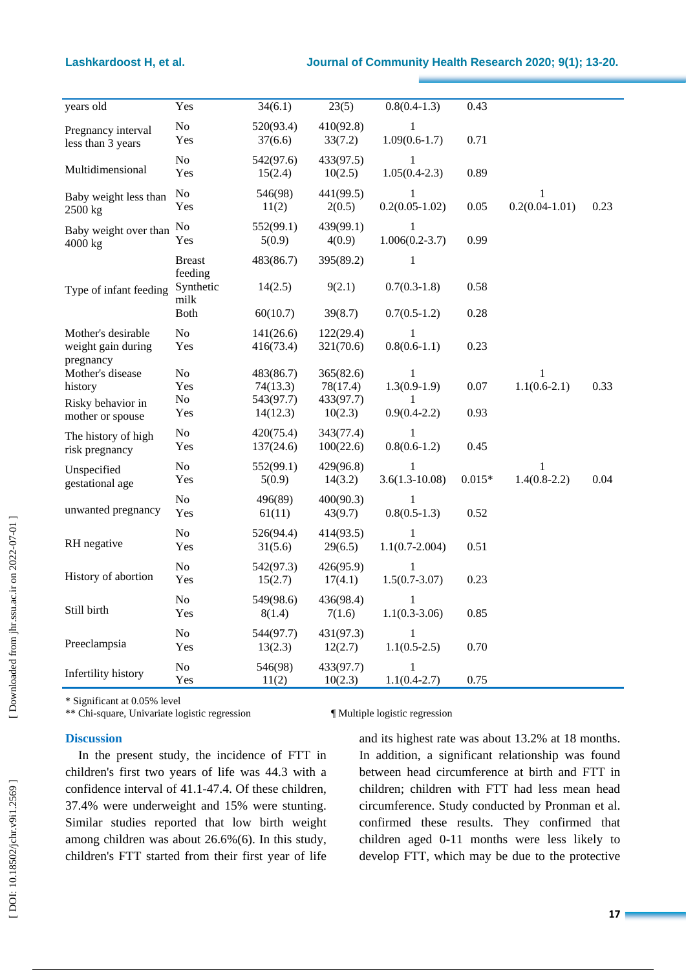| years old                                | Yes                          | 34(6.1)                | 23(5)                  | $0.8(0.4-1.3)$                  | 0.43     |                         |      |
|------------------------------------------|------------------------------|------------------------|------------------------|---------------------------------|----------|-------------------------|------|
| Pregnancy interval<br>less than 3 years  | $\rm No$<br>Yes              | 520(93.4)<br>37(6.6)   | 410(92.8)<br>33(7.2)   | $\mathbf{1}$<br>$1.09(0.6-1.7)$ | 0.71     |                         |      |
| Multidimensional                         | N <sub>o</sub><br>Yes        | 542(97.6)<br>15(2.4)   | 433(97.5)<br>10(2.5)   | 1<br>$1.05(0.4-2.3)$            | 0.89     |                         |      |
| Baby weight less than<br>2500 kg         | N <sub>0</sub><br>Yes        | 546(98)<br>11(2)       | 441(99.5)<br>2(0.5)    | 1<br>$0.2(0.05-1.02)$           | 0.05     | 1<br>$0.2(0.04 - 1.01)$ | 0.23 |
| Baby weight over than<br>4000 kg         | N <sub>0</sub><br>Yes        | 552(99.1)<br>5(0.9)    | 439(99.1)<br>4(0.9)    | 1<br>$1.006(0.2-3.7)$           | 0.99     |                         |      |
|                                          | <b>Breast</b>                | 483(86.7)              | 395(89.2)              | 1                               |          |                         |      |
| Type of infant feeding                   | feeding<br>Synthetic<br>milk | 14(2.5)                | 9(2.1)                 | $0.7(0.3-1.8)$                  | 0.58     |                         |      |
|                                          | <b>Both</b>                  | 60(10.7)               | 39(8.7)                | $0.7(0.5-1.2)$                  | 0.28     |                         |      |
| Mother's desirable<br>weight gain during | No<br>Yes                    | 141(26.6)<br>416(73.4) | 122(29.4)<br>321(70.6) | 1<br>$0.8(0.6-1.1)$             | 0.23     |                         |      |
| pregnancy<br>Mother's disease<br>history | No<br>Yes                    | 483(86.7)<br>74(13.3)  | 365(82.6)<br>78(17.4)  | 1<br>$1.3(0.9-1.9)$             | 0.07     | 1<br>$1.1(0.6-2.1)$     | 0.33 |
| Risky behavior in<br>mother or spouse    | N <sub>o</sub><br>Yes        | 543(97.7)<br>14(12.3)  | 433(97.7)<br>10(2.3)   | 1<br>$0.9(0.4-2.2)$             | 0.93     |                         |      |
| The history of high<br>risk pregnancy    | No<br>Yes                    | 420(75.4)<br>137(24.6) | 343(77.4)<br>100(22.6) | 1<br>$0.8(0.6-1.2)$             | 0.45     |                         |      |
| Unspecified<br>gestational age           | No<br>Yes                    | 552(99.1)<br>5(0.9)    | 429(96.8)<br>14(3.2)   | 1<br>$3.6(1.3 - 10.08)$         | $0.015*$ | 1<br>$1.4(0.8-2.2)$     | 0.04 |
| unwanted pregnancy                       | No<br>Yes                    | 496(89)<br>61(11)      | 400(90.3)<br>43(9.7)   | 1<br>$0.8(0.5-1.3)$             | 0.52     |                         |      |
| RH negative                              | No<br>Yes                    | 526(94.4)<br>31(5.6)   | 414(93.5)<br>29(6.5)   | 1<br>$1.1(0.7 - 2.004)$         | 0.51     |                         |      |
| History of abortion                      | No<br>Yes                    | 542(97.3)<br>15(2.7)   | 426(95.9)<br>17(4.1)   | 1<br>$1.5(0.7-3.07)$            | 0.23     |                         |      |
| Still birth                              | N <sub>o</sub><br>Yes        | 549(98.6)<br>8(1.4)    | 436(98.4)<br>7(1.6)    | 1<br>$1.1(0.3-3.06)$            | 0.85     |                         |      |
| Preeclampsia                             | No.<br>Yes                   | 544(97.7)<br>13(2.3)   | 431(97.3)<br>12(2.7)   | $\mathbf{1}$<br>$1.1(0.5-2.5)$  | 0.70     |                         |      |
| Infertility history                      | No<br>Yes                    | 546(98)<br>11(2)       | 433(97.7)<br>10(2.3)   | $\mathbf{1}$<br>$1.1(0.4-2.7)$  | 0.75     |                         |      |

\* Significant at 0.05% level

\*\* Chi -square, Univariate logistic regression ¶ Multiple logistic regression

### **Discussion**

In the present study, the incidence of FTT in children's first two years of life was 44.3 with a confidence interval of 41.1 -47.4. Of these children, 37.4% were underweight and 15% were stunting. Similar studies reported that low birth weight among children was about 26.6% ( 6 ) . In this study, children's FTT started from their first year of life

and its highest rate was about 13.2% at 18 months . In addition, a significant relationship was found between head circumference at birth and FTT in children ; children with FTT had less mean head circumference. Study conducted by Pronman et al . confirmed these results. They confirmed that children aged 0 -11 months were less likely to develop FTT, which may be due to the protective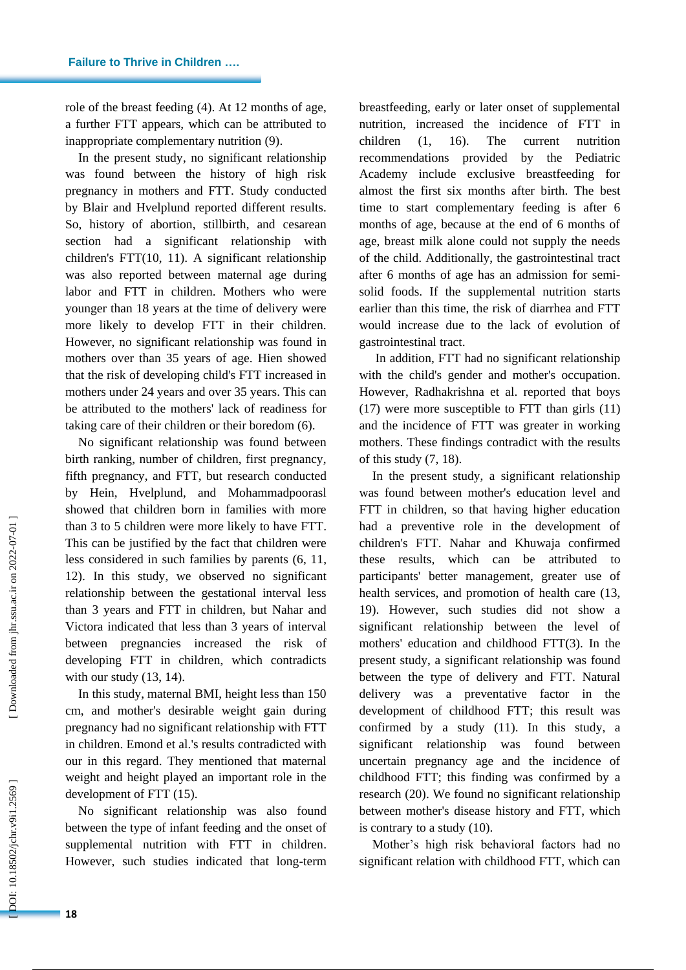role of the breast feeding ( 4 ) . At 12 months of age, a further FTT appears, which can be attributed to inappropriate complementary nutrition (9).

In the present study, no significant relationship was found between the history of high risk pregnancy in mothers and FTT. Study conducted by Blair and Hvelplund reported different results. So , history of abortion, stillbirth, and cesarean section had a significant relationship with children's FTT (10, 11 ) . A significant relationship was also reported between maternal age during labor and FTT in children. Mothers who were younger than 18 year s at the time of delivery were more likely to develop FTT in their children. However, no significant relationship was found in mother s over than 35 years of age. Hien showed that the risk of developing child's FTT increased in mother s under 24 year s and over 35 years. This can be attributed to the mothers' lack of readiness for taking care of their children or their boredom (6).

No significant relationship was found between birth ranking, number of children, first pregnancy, fifth pregnancy, and FTT, but research conducted by Hein, Hvelplund , and Mohammadpoorasl showed that children born in families with more than 3 to 5 children were more likely to have FTT. This can be justified by the fact that children were less considered in such families by parents ( 6, 11, 12 ) . In this study, we observed no significant relationship between the gestational interval less than 3 years and FTT in children, but Nahar and Victora indicated that less than 3 years of interval between pregnancies increase d the risk of developing FTT in children, which contradicts with our study (13, 14).

In this study, maternal BMI, height less than 150 cm, and mother's desirable weight gain during pregnancy had no significant relationship with FTT in children. Emond et al .'s results contradicted with our in this regard. They mentioned that maternal weight and height played an important role in the development of FTT  $(15)$ .

No significant relationship was also found between the type of infant feeding and the onset of supplemental nutrition with FTT in children. However, such studies indicated that long-term breastfeeding, early or later onset of supplemental nutrition, increase d the incidence of FTT in children  $(1,$ 1, 16 ) The current nutrition recommendations provided by the Pediatric Academy include exclusive breastfeeding for almost the first six months after birth. The best time to start complementary feeding is after 6 months of age, because at the end of 6 months of age, breast milk alone could not supply the needs of the child. Additionally, the gastrointestinal tract after 6 months of age has an admission for semi solid foods. If the supplemental nutrition starts earlier than this time, the risk of diarrhea and FTT would increase due to the lack of evolution of gastrointestinal tract.

In addition, FTT had no significant relationship with the child's gender and mother's occupation . However, Radhakrishna et al. reported that boys (17) were more susceptible to FTT than girls (11) and the incidence of FTT was greater in working mothers. These findings contradict with the results of this study ( 7, 18 ) .

In the present study, a significant relationship was found between mother's education level and FTT in children, so that having higher education had a preventive role in the development of children's FTT. Nahar and Khuwaja confirmed these results, which can be attributed to participants' better management, greater use of health services , and promotion of health care (13, 19 ) . However, such studies did not show a significant relationship between the level of mothers' education and childhood FTT ( 3 ) . In the present study, a significant relationship was found between the type of delivery and FTT. Natural delivery was a preventative factor in the development of childhood FTT; this result was confirmed by a study (11 ) . In this study, a significant relationship was found between uncertain pregnancy age and the incidence of childhood FTT; this finding was confirmed by a research (20 ) . We found no significant relationship between mother's disease history and FTT, which is contrary to a study (10).

Mother's high risk behavioral factors had no significant relation with childhood FTT, which can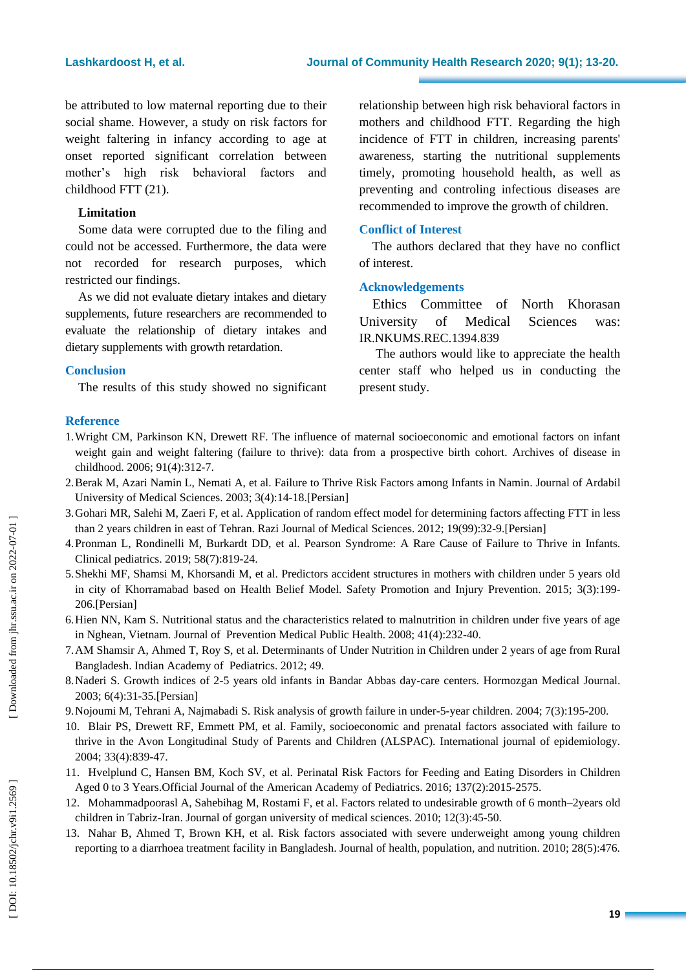be attributed to low maternal reporting due to their social shame. However, a study on risk factors for weight faltering in infancy according to age at onset reported significant correlation between mother's high risk behavioral factors and childhood FTT (21 ) .

### **Limitation**

Some data were corrupted due to the filing and could not be accessed. Furthermore, the data were not recorded for research purposes, which restricted our findings.

As we did not evaluate dietary intakes and dietary supplements, future researchers are recommended to evaluate the relationship of dietary intakes and dietary supplements with growth retardation.

### **Conclusion**

The result s of this study showed no significant

relationship between high risk behavioral factors in mothers and childhood FTT. Regarding the high incidence of FTT in children, increasing parents' awareness, starting the nutritional supplements timely, promoting household health , as well as preventing and controling infectious diseases are recommended to improve the growth of children.

### **Conflict of Interest**

The authors declare d that they have no conflict of interest.

### **Acknowledgement s**

Ethics Committee of North Khorasan University of Medical Sciences was: IR.NKUMS.REC.1394.839

The authors would like to appreciate the health center staff who helped us in conducting the present study.

### **Reference**

- 1.Wright CM, Parkinson KN, Drewett RF. The influence of maternal socioeconomic and emotional factors on infant weight gain and weight faltering (failure to thrive): data from a prospective birth cohort. Archives of disease in childhood. 2006; 91(4):312 -7.
- 2.Berak M, Azari Namin L, Nemati A, et al. Failure to Thrive Risk Factors among Infants in Namin. Journal of Ardabil University of Medical Sciences. 2003; 3(4):14-18.[Persian]
- 3.Gohari MR, Salehi M, Zaeri F, et al. Application of random effect model for determining factors affecting FTT in less than 2 years children in east of Tehran. Razi Journal of Medical Sciences. 2012; 19(99):32 -9.[Persian]
- 4.Pronman L, Rondinelli M, Burkardt DD, et al. Pearson Syndrome: A Rare Cause of Failure to Thrive in Infants. Clinical pediatrics. 2019; 58(7):819-24.
- 5.Shekhi MF, Shamsi M, Khorsandi M, et al. Predictors accident structures in mothers with children under 5 years old in city of Khorramabad based on Health Belief Model. Safety Promotion and Injury Prevention. 2015; 3(3):199 - 206.[Persian]
- 6.Hien NN, Kam S. Nutritional status and the characteristics related to malnutrition in children under five years of age in Nghean, Vietnam. Journal of Prevention Medical Public Health. 2008; 41(4):232 -40.
- 7.AM Shamsir A, Ahmed T, Roy S, et al. Determinants of Under Nutrition in Children under 2 years of age from Rural Bangladesh. Indian Academy of Pediatrics. 2012; 49.
- 8.Naderi S. Growth indices of 2 -5 years old infants in Bandar Abbas day -care centers. Hormozgan Medical Journal. 2003; 6(4):31 -35.[Persian]
- 9. Nojoumi M, Tehrani A, Najmabadi S. Risk analysis of growth failure in under-5-year children. 2004; 7(3):195-200.
- 10. Blair P S, Drewett R F, Emmett P M, et al. Family, socioeconomic and prenatal factors associated with failure to thrive in the Avon Longitudinal Study of Parents and Children (ALSPAC). International journal of epidemiology. 2004; 33(4):839 -47.
- 11. Hvelplund C, Hansen BM, Koch SV, et al. Perinatal Risk Factors for Feeding and Eating Disorders in Children Aged 0 to 3 Years.Official Journal of the American Academy of Pediatrics. 2016; 137(2):2015 -2575.
- 12. Mohammadpoorasl A, Sahebihag M, Rostami F, et al. Factors related to undesirable growth of 6 month –2years old children in Tabriz -Iran. Journal of gorgan university of medical sciences. 2010; 12(3):45 -50.
- 13. Nahar B, Ahmed T, Brown KH, et al. Risk factors associated with severe underweight among young children reporting to a diarrhoea treatment facility in Bangladesh. Journal of health, population, and nutrition. 2010; 28(5):476.